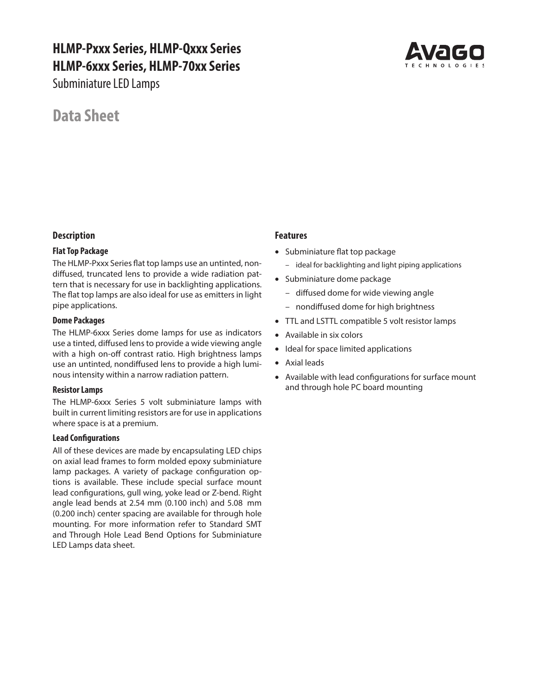# **HLMP-Pxxx Series, HLMP-Qxxx Series HLMP-6xxx Series, HLMP-70xx Series**

Subminiature LED Lamps



# **Data Sheet**

### **Description**

### **Flat Top Package**

The HLMP-Pxxx Series flat top lamps use an untinted, nondiffused, truncated lens to provide a wide radiation pattern that is necessary for use in backlighting applications. The flat top lamps are also ideal for use as emitters in light pipe applications.

### **Dome Packages**

The HLMP-6xxx Series dome lamps for use as indicators use a tinted, diffused lens to provide a wide viewing angle with a high on-off contrast ratio. High brightness lamps use an untinted, nondiffused lens to provide a high luminous intensity within a narrow radiation pattern.

### **Resistor Lamps**

The HLMP-6xxx Series 5 volt subminiature lamps with built in current limiting resistors are for use in applications where space is at a premium.

### **Lead Configurations**

All of these devices are made by encapsulating LED chips on axial lead frames to form molded epoxy subminiature lamp packages. A variety of package configuration options is available. These include special surface mount lead configurations, gull wing, yoke lead or Z-bend. Right angle lead bends at 2.54 mm (0.100 inch) and 5.08 mm (0.200 inch) center spacing are available for through hole mounting. For more information refer to Standard SMT and Through Hole Lead Bend Options for Subminiature LED Lamps data sheet.

### **Features**

- Subminiature flat top package
	- ideal for backlighting and light piping applications
- Subminiature dome package
	- diffused dome for wide viewing angle
	- nondiffused dome for high brightness
- TTL and LSTTL compatible 5 volt resistor lamps
- Available in six colors
- Ideal for space limited applications
- Axial leads
- Available with lead configurations for surface mount and through hole PC board mounting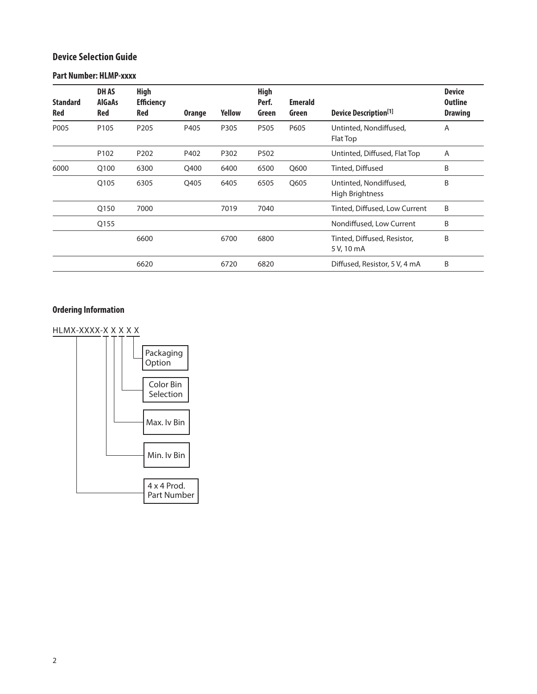### **Device Selection Guide**

### **Part Number: HLMP-xxxx**

| <b>Standard</b><br><b>Red</b> | <b>DHAS</b><br><b>AlGaAs</b><br>Red | <b>High</b><br><b>Efficiency</b><br><b>Red</b> | <b>Orange</b> | Yellow | <b>High</b><br>Perf.<br>Green | <b>Emerald</b><br>Green | <b>Device Description</b> <sup>[1]</sup>         | <b>Device</b><br><b>Outline</b><br><b>Drawing</b> |
|-------------------------------|-------------------------------------|------------------------------------------------|---------------|--------|-------------------------------|-------------------------|--------------------------------------------------|---------------------------------------------------|
| P005                          | P <sub>105</sub>                    | P <sub>205</sub>                               | P405          | P305   | P505                          | P605                    | Untinted, Nondiffused,<br>Flat Top               | A                                                 |
|                               | P <sub>102</sub>                    | P <sub>202</sub>                               | P402          | P302   | P502                          |                         | Untinted, Diffused, Flat Top                     | Α                                                 |
| 6000                          | Q100                                | 6300                                           | Q400          | 6400   | 6500                          | Q600                    | Tinted, Diffused                                 | B                                                 |
|                               | Q105                                | 6305                                           | Q405          | 6405   | 6505                          | Q605                    | Untinted, Nondiffused,<br><b>High Brightness</b> | B                                                 |
|                               | O <sub>150</sub>                    | 7000                                           |               | 7019   | 7040                          |                         | Tinted, Diffused, Low Current                    | B                                                 |
|                               | Q155                                |                                                |               |        |                               |                         | Nondiffused, Low Current                         | B                                                 |
|                               |                                     | 6600                                           |               | 6700   | 6800                          |                         | Tinted, Diffused, Resistor,<br>5 V, 10 mA        | B                                                 |
|                               |                                     | 6620                                           |               | 6720   | 6820                          |                         | Diffused, Resistor, 5 V, 4 mA                    | B                                                 |

# **Ordering Information**

HLMX-XXXX-X X X X X

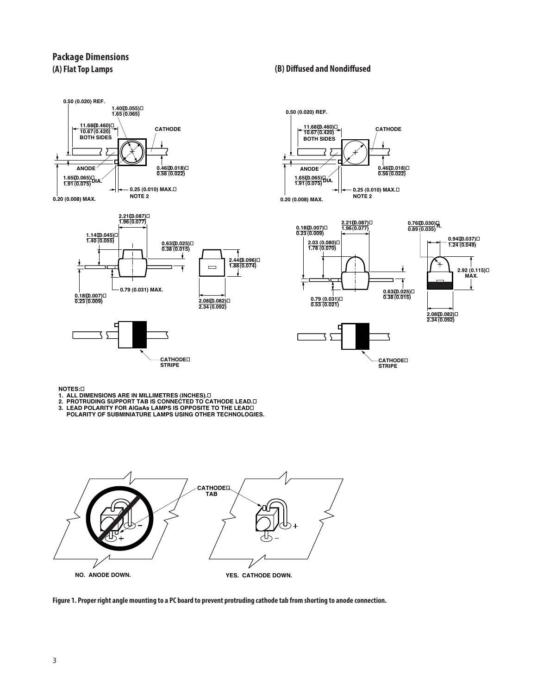### **Package Dimensions (A) Flat Top Lamps**





**NOTES:**

- 
- 
- 1. ALL DIMENSIONS ARE IN MILLIMETRES (INCHES).⊡<br>2. PROTRUDING SUPPORT TAB IS CONNECTED TO CATHODE LEAD.⊡<br>3. LEAD POLARITY FOR AIGAAS LAMPS IS OPPOSITE TO THE LEAD⊡<br>POLARITY OF SUBMINIATURE LAMPS USING OTHER TECHNOLOGIES.



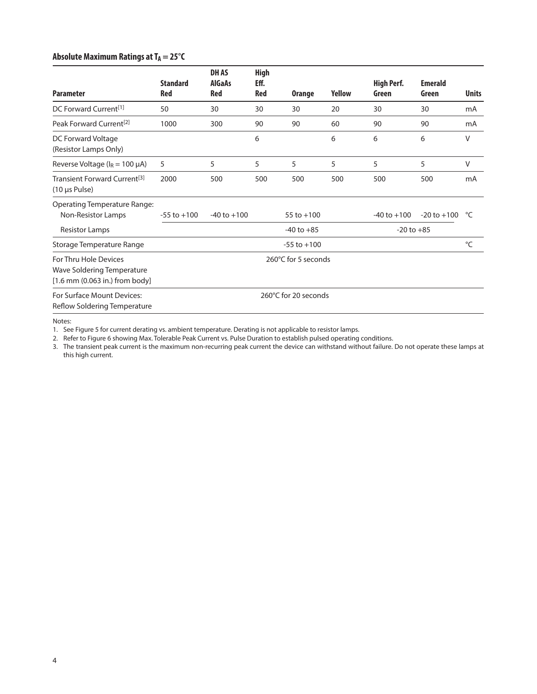### **Absolute Maximum Ratings at TA = 25°C**

| <b>Parameter</b>                                                                      | <b>Standard</b><br>Red | <b>DHAS</b><br><b>AlGaAs</b><br><b>Red</b> | <b>High</b><br>Eff.<br><b>Red</b> | <b>Orange</b>        | <b>Yellow</b> | <b>High Perf.</b><br>Green | <b>Emerald</b><br>Green | <b>Units</b> |
|---------------------------------------------------------------------------------------|------------------------|--------------------------------------------|-----------------------------------|----------------------|---------------|----------------------------|-------------------------|--------------|
| DC Forward Current <sup>[1]</sup>                                                     | 50                     | 30                                         | 30                                | 30                   | 20            | 30                         | 30                      | mA           |
| Peak Forward Current <sup>[2]</sup>                                                   | 1000                   | 300                                        | 90                                | 90                   | 60            | 90                         | 90                      | mA           |
| DC Forward Voltage<br>(Resistor Lamps Only)                                           |                        |                                            | 6                                 |                      | 6             | 6                          | 6                       | V            |
| Reverse Voltage ( $I_R = 100 \mu A$ )                                                 | 5                      | 5                                          | 5                                 | 5                    | 5             | 5                          | 5                       | V            |
| Transient Forward Current <sup>[3]</sup><br>(10 µs Pulse)                             | 2000                   | 500                                        | 500                               | 500                  | 500           | 500                        | 500                     | mA           |
| <b>Operating Temperature Range:</b><br>Non-Resistor Lamps                             | $-55$ to $+100$        | $-40$ to $+100$                            |                                   | 55 to $+100$         |               | $-40$ to $+100$            | $-20$ to $+100$         | °⊂           |
| <b>Resistor Lamps</b>                                                                 |                        |                                            |                                   | $-40$ to $+85$       |               | $-20$ to $+85$             |                         |              |
| Storage Temperature Range                                                             |                        |                                            |                                   | $-55$ to $+100$      |               |                            |                         | °C           |
| For Thru Hole Devices<br>Wave Soldering Temperature<br>[1.6 mm (0.063 in.) from body] |                        | 260°C for 5 seconds                        |                                   |                      |               |                            |                         |              |
| For Surface Mount Devices:<br>Reflow Soldering Temperature                            |                        |                                            |                                   | 260°C for 20 seconds |               |                            |                         |              |

Notes:

1. See Figure 5 for current derating vs. ambient temperature. Derating is not applicable to resistor lamps.

2. Refer to Figure 6 showing Max. Tolerable Peak Current vs. Pulse Duration to establish pulsed operating conditions.

3. The transient peak current is the maximum non-recurring peak current the device can withstand without failure. Do not operate these lamps at this high current.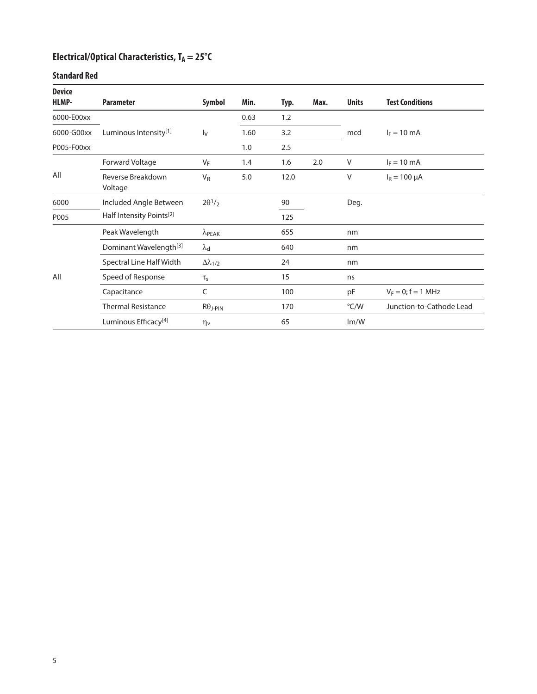# Electrical/Optical Characteristics, T<sub>A</sub> = 25°C

### **Standard Red**

| <b>Device</b><br>HLMP- | <b>Parameter</b>                     | <b>Symbol</b>                         | Min. | Typ. | Max. | <b>Units</b>  | <b>Test Conditions</b>   |
|------------------------|--------------------------------------|---------------------------------------|------|------|------|---------------|--------------------------|
| 6000-E00xx             |                                      |                                       | 0.63 | 1.2  |      |               |                          |
| 6000-G00xx             | Luminous Intensity[1]                | $I_V$                                 | 1.60 | 3.2  |      | mcd           | $I_F = 10 \text{ mA}$    |
| P005-F00xx             |                                      |                                       | 1.0  | 2.5  |      |               |                          |
|                        | Forward Voltage                      | $V_F$                                 | 1.4  | 1.6  | 2.0  | $\vee$        | $I_F = 10$ mA            |
| All                    | Reverse Breakdown<br>Voltage         | $V_R$                                 | 5.0  | 12.0 |      | V             | $I_R = 100 \mu A$        |
| 6000                   | Included Angle Between               | $2\theta$ <sup>1</sup> / <sub>2</sub> |      | 90   |      | Deg.          |                          |
| P005                   | Half Intensity Points <sup>[2]</sup> |                                       |      | 125  |      |               |                          |
|                        | Peak Wavelength                      | $\lambda$ PEAK                        |      | 655  |      | nm            |                          |
|                        | Dominant Wavelength <sup>[3]</sup>   | $\lambda_{\mathsf{d}}$                |      | 640  |      | nm            |                          |
|                        | Spectral Line Half Width             | $\Delta\lambda_{1/2}$                 |      | 24   |      | nm            |                          |
| All                    | Speed of Response                    | $\tau_{\text{s}}$                     |      | 15   |      | ns            |                          |
|                        | Capacitance                          | C                                     |      | 100  |      | pF            | $V_F = 0; f = 1 MHz$     |
|                        | <b>Thermal Resistance</b>            | $R\theta$ J-PIN                       |      | 170  |      | $\degree$ C/W | Junction-to-Cathode Lead |
|                        | Luminous Efficacy <sup>[4]</sup>     | $\eta_v$                              |      | 65   |      | Im/W          |                          |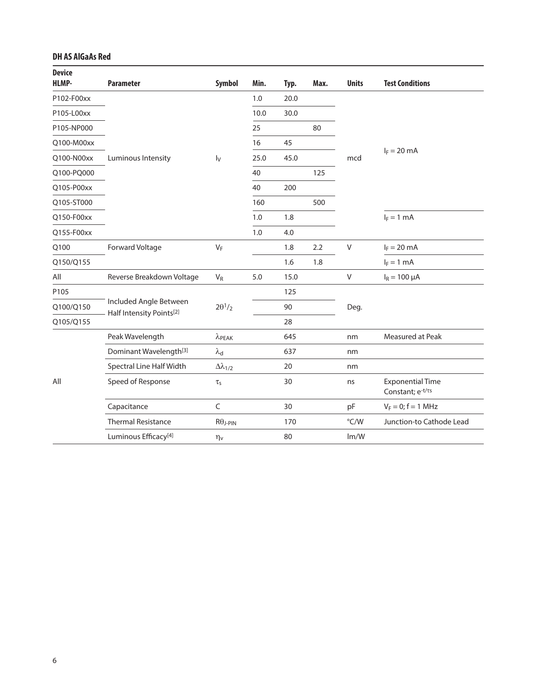### **DH AS AlGaAs Red**

| <b>Device</b><br><b>HLMP-</b> | <b>Parameter</b>                                   | Symbol                 | Min. | Typ. | Max. | <b>Units</b> | <b>Test Conditions</b>                      |
|-------------------------------|----------------------------------------------------|------------------------|------|------|------|--------------|---------------------------------------------|
| P102-F00xx                    |                                                    |                        | 1.0  | 20.0 |      |              |                                             |
| P105-L00xx                    |                                                    |                        | 10.0 | 30.0 |      |              |                                             |
| P105-NP000                    |                                                    |                        | 25   |      | 80   |              |                                             |
| Q100-M00xx                    |                                                    |                        | 16   | 45   |      |              |                                             |
| Q100-N00xx                    | Luminous Intensity                                 | $I_V$                  | 25.0 | 45.0 |      | mcd          | $I_F = 20$ mA                               |
| Q100-PQ000                    |                                                    |                        | 40   |      | 125  |              |                                             |
| Q105-P00xx                    |                                                    |                        | 40   | 200  |      |              |                                             |
| Q105-ST000                    |                                                    |                        | 160  |      | 500  |              |                                             |
| Q150-F00xx                    |                                                    |                        | 1.0  | 1.8  |      |              | $I_F = 1$ mA                                |
| Q155-F00xx                    |                                                    |                        | 1.0  | 4.0  |      |              |                                             |
| Q100                          | Forward Voltage                                    | $V_F$                  |      | 1.8  | 2.2  | V            | $I_F = 20$ mA                               |
| Q150/Q155                     |                                                    |                        |      | 1.6  | 1.8  |              | $I_F = 1$ mA                                |
| All                           | Reverse Breakdown Voltage                          | $V_R$                  | 5.0  | 15.0 |      | V            | $I_R = 100 \mu A$                           |
| P105                          |                                                    |                        |      | 125  |      |              |                                             |
| Q100/Q150                     | Included Angle Between<br>Half Intensity Points[2] | $2\theta^1/2$          |      | 90   |      | Deg.         |                                             |
| Q105/Q155                     |                                                    |                        |      | 28   |      |              |                                             |
|                               | Peak Wavelength                                    | $\lambda$ PEAK         |      | 645  |      | nm           | Measured at Peak                            |
|                               | Dominant Wavelength <sup>[3]</sup>                 | $\lambda_{\mathsf{d}}$ |      | 637  |      | nm           |                                             |
|                               | Spectral Line Half Width                           | $\Delta\lambda_{1/2}$  |      | 20   |      | nm           |                                             |
| All                           | Speed of Response<br>$\tau_{\text{s}}$             |                        |      | 30   |      | ns           | <b>Exponential Time</b><br>Constant; e-t/ts |
|                               | Capacitance                                        | $\mathsf C$            |      | 30   |      | pF           | $V_F = 0; f = 1$ MHz                        |
|                               | <b>Thermal Resistance</b>                          | $R\theta$ J-PIN        |      | 170  |      | °C/W         | Junction-to Cathode Lead                    |
|                               | Luminous Efficacy <sup>[4]</sup>                   | $\eta_v$               |      | 80   |      | Im/W         |                                             |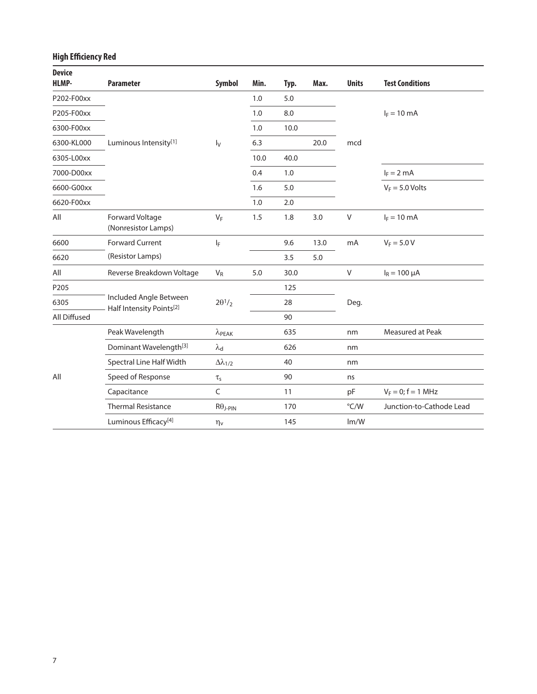# **High Efficiency Red**

| <b>Device</b><br><b>HLMP-</b> | <b>Parameter</b>                                   | Symbol                                | Min. | Typ. | Max. | <b>Units</b>  | <b>Test Conditions</b>   |
|-------------------------------|----------------------------------------------------|---------------------------------------|------|------|------|---------------|--------------------------|
| P202-F00xx                    |                                                    |                                       | 1.0  | 5.0  |      |               |                          |
| P205-F00xx                    |                                                    |                                       | 1.0  | 8.0  |      |               | $I_F = 10$ mA            |
| 6300-F00xx                    |                                                    |                                       | 1.0  | 10.0 |      |               |                          |
| 6300-KL000                    | Luminous Intensity[1]                              | $I_V$                                 | 6.3  |      | 20.0 | mcd           |                          |
| 6305-L00xx                    |                                                    |                                       | 10.0 | 40.0 |      |               |                          |
| 7000-D00xx                    |                                                    |                                       | 0.4  | 1.0  |      |               | $I_F = 2$ mA             |
| 6600-G00xx                    |                                                    |                                       | 1.6  | 5.0  |      |               | $V_F = 5.0$ Volts        |
| 6620-F00xx                    |                                                    |                                       | 1.0  | 2.0  |      |               |                          |
| All                           | Forward Voltage<br>(Nonresistor Lamps)             | $V_F$                                 | 1.5  | 1.8  | 3.0  | $\vee$        | $I_F = 10 \text{ mA}$    |
| 6600                          | <b>Forward Current</b>                             | ΙF                                    |      | 9.6  | 13.0 | mA            | $V_F = 5.0 V$            |
| 6620                          | (Resistor Lamps)                                   |                                       |      | 3.5  | 5.0  |               |                          |
| All                           | Reverse Breakdown Voltage                          | $V_R$                                 | 5.0  | 30.0 |      | V             | $I_R = 100 \mu A$        |
| P205                          |                                                    |                                       |      | 125  |      |               |                          |
| 6305                          | Included Angle Between<br>Half Intensity Points[2] | $2\theta$ <sup>1</sup> / <sub>2</sub> |      | 28   |      | Deg.          |                          |
| All Diffused                  |                                                    |                                       |      | 90   |      |               |                          |
|                               | Peak Wavelength                                    | $\lambda$ PEAK                        |      | 635  |      | nm            | <b>Measured at Peak</b>  |
|                               | Dominant Wavelength <sup>[3]</sup>                 | $\lambda_{\mathsf{d}}$                |      | 626  |      | nm            |                          |
|                               | Spectral Line Half Width                           | $\Delta\lambda_{1/2}$                 |      | 40   |      | nm            |                          |
| All                           | Speed of Response                                  | $\tau_{\text{s}}$                     |      | 90   |      | ns            |                          |
|                               | Capacitance                                        | $\mathsf C$                           |      | 11   |      | pF            | $V_F = 0; f = 1 MHz$     |
|                               | <b>Thermal Resistance</b>                          | $R\theta$ J-PIN                       |      | 170  |      | $\degree$ C/W | Junction-to-Cathode Lead |
|                               | Luminous Efficacy <sup>[4]</sup>                   | $\eta_v$                              |      | 145  |      | Im/W          |                          |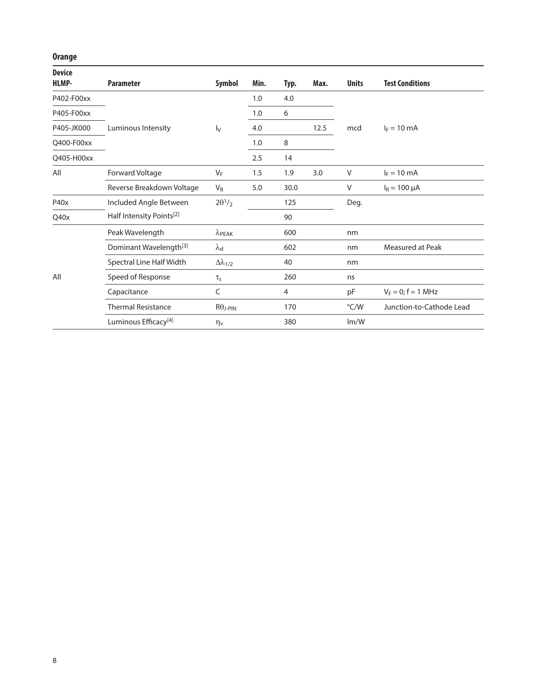# **Orange**

| <b>Device</b><br>HLMP- | <b>Parameter</b>                     | <b>Symbol</b>                         | Min. | Typ. | Max. | <b>Units</b> | <b>Test Conditions</b>   |
|------------------------|--------------------------------------|---------------------------------------|------|------|------|--------------|--------------------------|
| P402-F00xx             |                                      |                                       | 1.0  | 4.0  |      |              |                          |
| P405-F00xx             |                                      |                                       | 1.0  | 6    |      |              |                          |
| P405-JK000             | Luminous Intensity                   | $\mathsf{I}_{\mathsf{V}}$             | 4.0  |      | 12.5 | mcd          | $I_F = 10 \text{ mA}$    |
| Q400-F00xx             |                                      |                                       | 1.0  | 8    |      |              |                          |
| Q405-H00xx             |                                      |                                       | 2.5  | 14   |      |              |                          |
| All                    | Forward Voltage                      | $V_F$                                 | 1.5  | 1.9  | 3.0  | V            | $I_F = 10$ mA            |
|                        | Reverse Breakdown Voltage            | $V_R$                                 | 5.0  | 30.0 |      | V            | $I_R = 100 \mu A$        |
| P40x                   | Included Angle Between               | $2\theta$ <sup>1</sup> / <sub>2</sub> |      | 125  |      | Deg.         |                          |
| Q40x                   | Half Intensity Points <sup>[2]</sup> |                                       |      | 90   |      |              |                          |
|                        | Peak Wavelength                      | $\lambda$ PEAK                        |      | 600  |      | nm           |                          |
|                        | Dominant Wavelength <sup>[3]</sup>   | $\lambda_{\mathsf{d}}$                |      | 602  |      | nm           | Measured at Peak         |
|                        | Spectral Line Half Width             | $\Delta\lambda_{1/2}$                 |      | 40   |      | nm           |                          |
| All                    | Speed of Response                    | $\tau_{\rm s}$                        |      | 260  |      | ns           |                          |
|                        | Capacitance                          | C                                     |      | 4    |      | pF           | $V_F = 0; f = 1 MHz$     |
|                        | <b>Thermal Resistance</b>            | $R\theta$ J-PIN                       |      | 170  |      | °C/W         | Junction-to-Cathode Lead |
|                        | Luminous Efficacy <sup>[4]</sup>     | $\eta_v$                              |      | 380  |      | Im/W         |                          |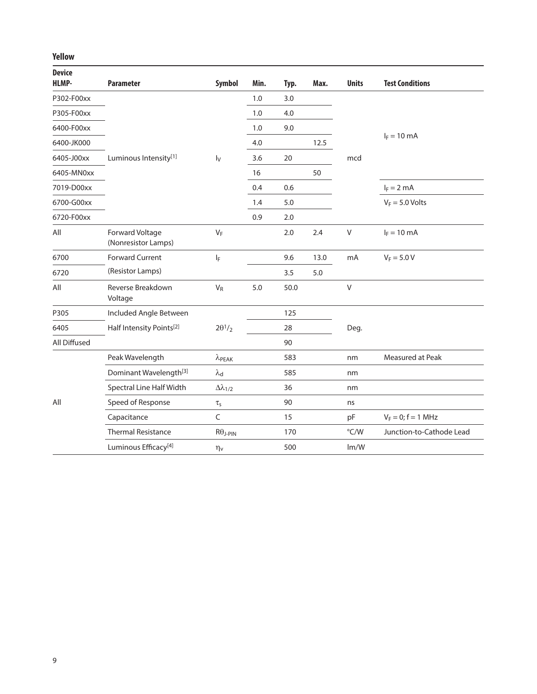### **Yellow**

| <b>Device</b><br><b>HLMP-</b> | <b>Parameter</b>                       | Symbol                | Min. | Typ. | Max. | <b>Units</b>  | <b>Test Conditions</b>   |
|-------------------------------|----------------------------------------|-----------------------|------|------|------|---------------|--------------------------|
| P302-F00xx                    |                                        |                       | 1.0  | 3.0  |      |               |                          |
| P305-F00xx                    |                                        |                       | 1.0  | 4.0  |      |               |                          |
| 6400-F00xx                    |                                        |                       | 1.0  | 9.0  |      |               |                          |
| 6400-JK000                    |                                        |                       | 4.0  |      | 12.5 |               | $I_F = 10 \text{ mA}$    |
| 6405-J00xx                    | Luminous Intensity[1]                  | $I_V$                 | 3.6  | 20   |      | mcd           |                          |
| 6405-MN0xx                    |                                        |                       | 16   |      | 50   |               |                          |
| 7019-D00xx                    |                                        |                       | 0.4  | 0.6  |      |               | $I_F = 2$ mA             |
| 6700-G00xx                    |                                        |                       | 1.4  | 5.0  |      |               | $V_F = 5.0$ Volts        |
| 6720-F00xx                    |                                        |                       | 0.9  | 2.0  |      |               |                          |
| All                           | Forward Voltage<br>(Nonresistor Lamps) | $V_F$                 |      | 2.0  | 2.4  | $\vee$        | $I_F = 10$ mA            |
| 6700                          | <b>Forward Current</b>                 | $I_F$                 |      | 9.6  | 13.0 | mA            | $V_F = 5.0 V$            |
| 6720                          | (Resistor Lamps)                       |                       |      | 3.5  | 5.0  |               |                          |
| All                           | Reverse Breakdown<br>Voltage           | $V_R$                 | 5.0  | 50.0 |      | $\vee$        |                          |
| P305                          | Included Angle Between                 |                       |      | 125  |      |               |                          |
| 6405                          | Half Intensity Points <sup>[2]</sup>   | $2\theta^1/2$         |      | 28   |      | Deg.          |                          |
| All Diffused                  |                                        |                       |      | 90   |      |               |                          |
|                               | Peak Wavelength                        | $\lambda$ PEAK        |      | 583  |      | nm            | Measured at Peak         |
|                               | Dominant Wavelength <sup>[3]</sup>     | $\lambda_{\rm d}$     |      | 585  |      | nm            |                          |
|                               | Spectral Line Half Width               | $\Delta\lambda_{1/2}$ |      | 36   |      | nm            |                          |
| All                           | Speed of Response                      | $\tau_{\text{s}}$     |      | 90   |      | ns            |                          |
|                               | Capacitance                            | $\mathsf C$           |      | 15   |      | pF            | $V_F = 0; f = 1 MHz$     |
|                               | <b>Thermal Resistance</b>              | $R\theta$ j-PIN       |      | 170  |      | $\degree$ C/W | Junction-to-Cathode Lead |
|                               | Luminous Efficacy <sup>[4]</sup>       | $\eta_v$              |      | 500  |      | Im/W          |                          |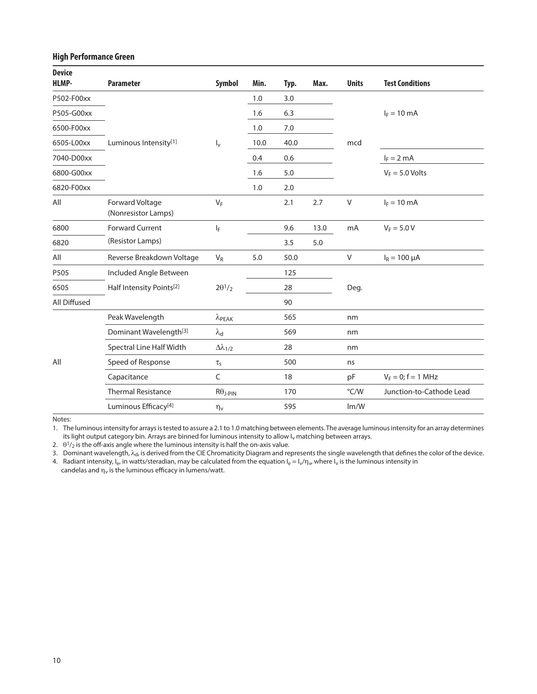#### **High Performance Green**

| <b>Device</b><br><b>HLMP-</b> | <b>Parameter</b>                       | Symbol                 | Min. | Typ. | Max. | <b>Units</b>  | <b>Test Conditions</b>   |
|-------------------------------|----------------------------------------|------------------------|------|------|------|---------------|--------------------------|
| P502-F00xx                    |                                        |                        | 1.0  | 3.0  |      |               |                          |
| P505-G00xx                    |                                        |                        | 1.6  | 6.3  |      |               | $I_F = 10$ mA            |
| 6500-F00xx                    |                                        |                        | 1.0  | 7.0  |      |               |                          |
| 6505-L00xx                    | Luminous Intensity[1]                  | $I_{\rm v}$            | 10.0 | 40.0 |      | mcd           |                          |
| 7040-D00xx                    |                                        |                        | 0.4  | 0.6  |      |               | $I_F = 2$ mA             |
| 6800-G00xx                    |                                        |                        | 1.6  | 5.0  |      |               | $V_F = 5.0$ Volts        |
| 6820-F00xx                    |                                        |                        | 1.0  | 2.0  |      |               |                          |
| All                           | Forward Voltage<br>(Nonresistor Lamps) | $V_F$                  |      | 2.1  | 2.7  | $\vee$        | $I_F = 10$ mA            |
| 6800                          | <b>Forward Current</b>                 | $I_F$                  |      | 9.6  | 13.0 | mA            | $V_F = 5.0 V$            |
| 6820                          | (Resistor Lamps)                       |                        |      | 3.5  | 5.0  |               |                          |
| All                           | Reverse Breakdown Voltage              | $V_R$                  | 5.0  | 50.0 |      | V             | $I_R = 100 \mu A$        |
| P505                          | Included Angle Between                 |                        |      | 125  |      |               |                          |
| 6505                          | Half Intensity Points <sup>[2]</sup>   | $2\theta^1/2$          |      | 28   |      | Deg.          |                          |
| All Diffused                  |                                        |                        |      | 90   |      |               |                          |
|                               | Peak Wavelength                        | $\lambda$ PEAK         |      | 565  |      | nm            |                          |
|                               | Dominant Wavelength <sup>[3]</sup>     | $\lambda_{\mathsf{d}}$ |      | 569  |      | nm            |                          |
|                               | Spectral Line Half Width               | $\Delta\lambda_{1/2}$  |      | 28   |      | nm            |                          |
| All                           | Speed of Response                      | $\tau_{\text{s}}$      |      | 500  |      | ns            |                          |
|                               | Capacitance                            | C                      |      | 18   |      | pF            | $V_F = 0; f = 1$ MHz     |
|                               | <b>Thermal Resistance</b>              | $R\theta$ j-PIN        |      | 170  |      | $\degree$ C/W | Junction-to-Cathode Lead |
|                               | Luminous Efficacy <sup>[4]</sup>       | $\eta_v$               |      | 595  |      | Im/W          |                          |

Notes:

1. The luminous intensity for arrays is tested to assure a 2.1 to 1.0 matching between elements. The average luminous intensity for an array determines its light output category bin. Arrays are binned for luminous intensity to allow I<sub>v</sub> matching between arrays.

2.  $\theta^{1/2}$  is the off-axis angle where the luminous intensity is half the on-axis value.

3. Dominant wavelength,  $\lambda_d$ , is derived from the CIE Chromaticity Diagram and represents the single wavelength that defines the color of the device.

4. Radiant intensity,  $I_e$ , in watts/steradian, may be calculated from the equation  $I_e = I_v/\eta_v$ , where  $I_v$  is the luminous intensity in candelas and  $\eta_v$  is the luminous efficacy in lumens/watt.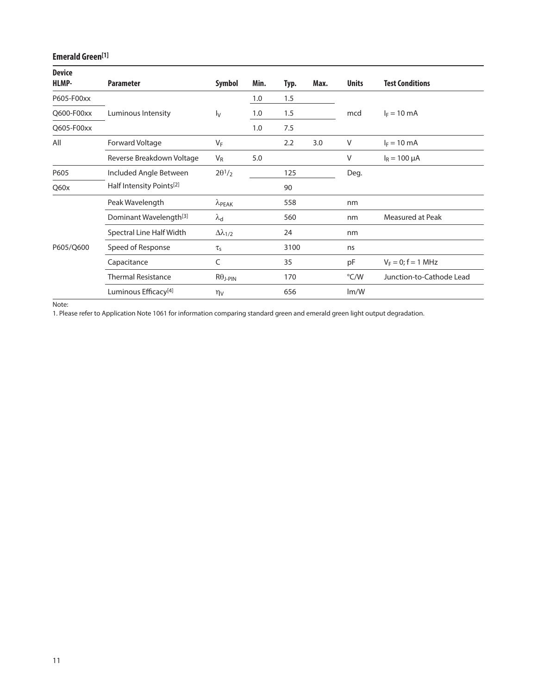# **Emerald Green[1]**

| <b>Device</b><br>HLMP- | <b>Parameter</b>                     | <b>Symbol</b>             | Min. | Typ. | Max. | <b>Units</b> | <b>Test Conditions</b>   |
|------------------------|--------------------------------------|---------------------------|------|------|------|--------------|--------------------------|
| P605-F00xx             |                                      |                           | 1.0  | 1.5  |      |              |                          |
| Q600-F00xx             | Luminous Intensity                   | $\mathsf{I}_{\mathsf{V}}$ | 1.0  | 1.5  |      | mcd          | $I_F = 10$ mA            |
| Q605-F00xx             |                                      |                           | 1.0  | 7.5  |      |              |                          |
| All                    | Forward Voltage                      | $V_F$                     |      | 2.2  | 3.0  | V            | $I_F = 10 \text{ mA}$    |
|                        | Reverse Breakdown Voltage            | $V_{R}$                   | 5.0  |      |      | V            | $I_R = 100 \mu A$        |
| P605                   | Included Angle Between               | $2\theta^1/2$             |      | 125  |      | Deg.         |                          |
| Q60x                   | Half Intensity Points <sup>[2]</sup> |                           |      | 90   |      |              |                          |
|                        | Peak Wavelength                      | $\lambda$ PEAK            |      | 558  |      | nm           |                          |
|                        | Dominant Wavelength <sup>[3]</sup>   | $\lambda_{\mathsf{d}}$    |      | 560  |      | nm           | Measured at Peak         |
|                        | Spectral Line Half Width             | $\Delta\lambda_{1/2}$     |      | 24   |      | nm           |                          |
| P605/Q600              | Speed of Response                    | $\tau_{\text{\tiny S}}$   |      | 3100 |      | ns           |                          |
|                        | Capacitance                          | C                         |      | 35   |      | pF           | $V_F = 0$ ; f = 1 MHz    |
|                        | <b>Thermal Resistance</b>            | $R\theta$ J-PIN           |      | 170  |      | °C/W         | Junction-to-Cathode Lead |
|                        | Luminous Efficacy <sup>[4]</sup>     | $\eta_V$                  |      | 656  |      | Im/W         |                          |

Note:

1. Please refer to Application Note 1061 for information comparing standard green and emerald green light output degradation.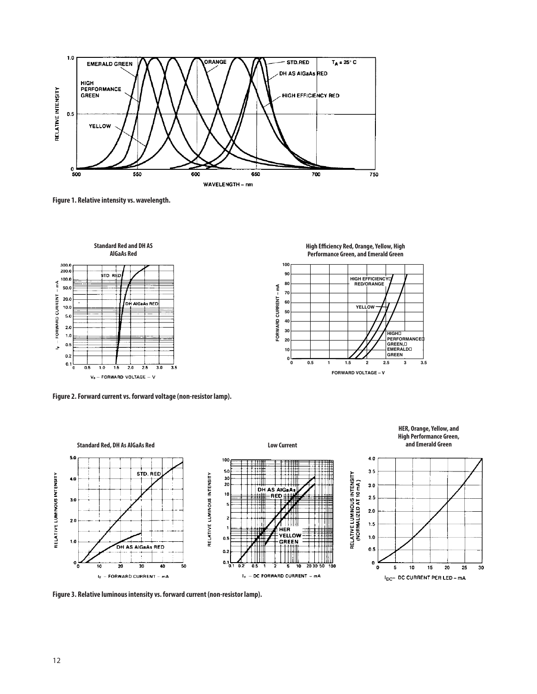

**Figure 1. Relative intensity vs. wavelength.**



**Figure 2. Forward current vs. forward voltage (non-resistor lamp).**





**HER, Orange, Yellow, and High Performance Green,**

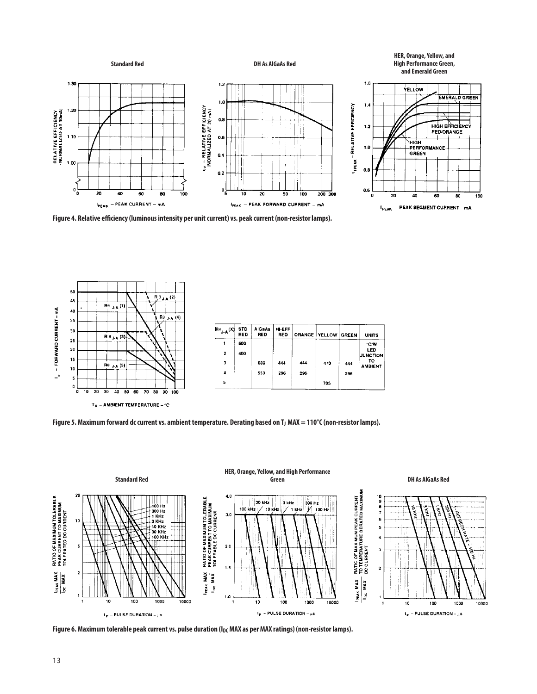

**Figure 4. Relative efficiency (luminous intensity per unit current) vs. peak current (non-resistor lamps).**



| $H^H$ <sub>j-A</sub> $(X)$ | <b>STD</b><br><b>RED</b> | <b>AIGaAs</b><br><b>RED</b> | <b>HI-EFF</b><br>RED |     | <b>ORANGE   YELLOW   GREEN</b> |     | <b>UNITS</b>           |
|----------------------------|--------------------------|-----------------------------|----------------------|-----|--------------------------------|-----|------------------------|
|                            | 600                      |                             |                      |     |                                |     | ℃/W                    |
| $\overline{\mathbf{z}}$    | 400                      |                             |                      |     |                                |     | LED<br><b>JUNCTION</b> |
| 3                          |                          | 689                         | 444                  | 444 | 470                            | 444 | то<br><b>AMBIENT</b>   |
| 4                          |                          | 559                         | 296                  | 296 |                                | 296 |                        |
| 5                          |                          |                             |                      |     | 705                            |     |                        |

 $T_A$  – AMBIENT TEMPERATURE –  $\degree$ C

Figure 5. Maximum forward dc current vs. ambient temperature. Derating based on T<sub>J</sub> MAX = 110°C (non-resistor lamps).



Figure 6. Maximum tolerable peak current vs. pulse duration (I<sub>DC</sub> MAX as per MAX ratings) (non-resistor lamps).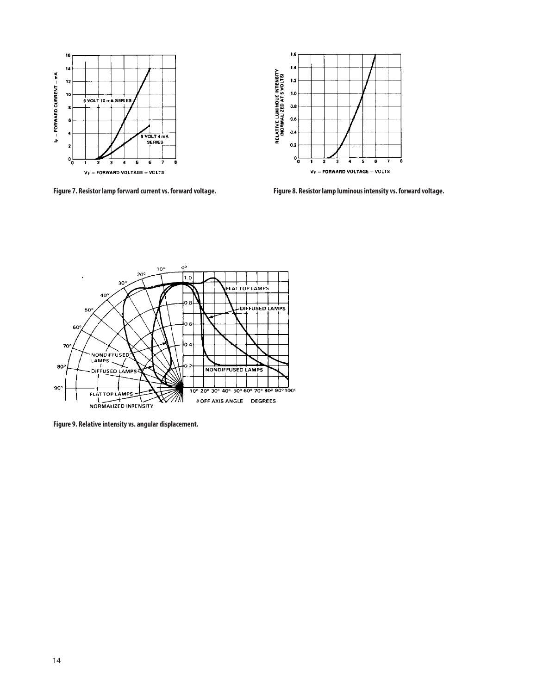



**Figure 7. Resistor lamp forward current vs. forward voltage. Figure 8. Resistor lamp luminous intensity vs. forward voltage.**



**Figure 9. Relative intensity vs. angular displacement.**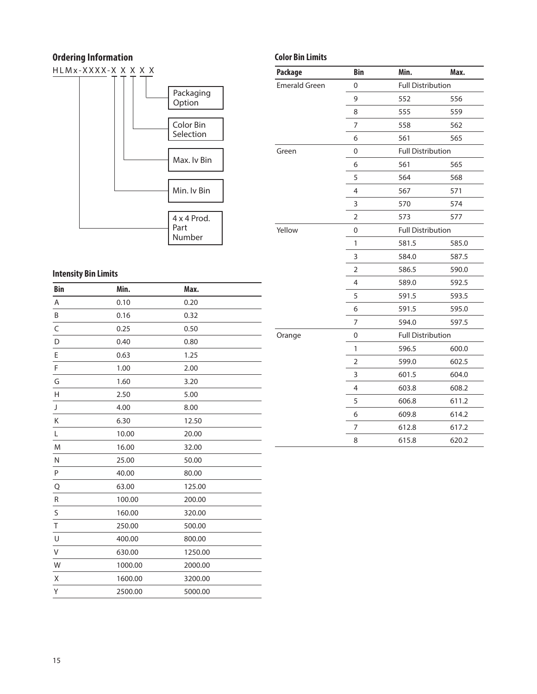# **Ordering Information**

 $HLMx-XXXX-X$   $X$   $X$   $X$   $X$   $X$ 



# **Intensity Bin Limits**

| <b>Bin</b>  | Min.    | Max.    |
|-------------|---------|---------|
| Α           | 0.10    | 0.20    |
| B           | 0.16    | 0.32    |
| C           | 0.25    | 0.50    |
| D           | 0.40    | 0.80    |
| E           | 0.63    | 1.25    |
| F           | 1.00    | 2.00    |
| G           | 1.60    | 3.20    |
| H           | 2.50    | 5.00    |
| J           | 4.00    | 8.00    |
| K           | 6.30    | 12.50   |
| L           | 10.00   | 20.00   |
| M           | 16.00   | 32.00   |
| N           | 25.00   | 50.00   |
| P           | 40.00   | 80.00   |
| Q           | 63.00   | 125.00  |
| R           | 100.00  | 200.00  |
| S           | 160.00  | 320.00  |
| T           | 250.00  | 500.00  |
| U           | 400.00  | 800.00  |
| $\mathsf V$ | 630.00  | 1250.00 |
| W           | 1000.00 | 2000.00 |
| Χ           | 1600.00 | 3200.00 |
| Υ           | 2500.00 | 5000.00 |

# **Color Bin Limits**

| <b>Package</b>       | <b>Bin</b>       | Min.                     | Max.  |
|----------------------|------------------|--------------------------|-------|
| <b>Emerald Green</b> | $\mathbf 0$      | <b>Full Distribution</b> |       |
|                      | 9                | 552                      | 556   |
|                      | 8                | 555                      | 559   |
|                      | 7                | 558                      | 562   |
|                      | 6                | 561                      | 565   |
| Green                | $\boldsymbol{0}$ | <b>Full Distribution</b> |       |
|                      | 6                | 561                      | 565   |
|                      | 5                | 564                      | 568   |
|                      | $\overline{4}$   | 567                      | 571   |
|                      | 3                | 570                      | 574   |
|                      | $\overline{2}$   | 573                      | 577   |
| Yellow               | $\boldsymbol{0}$ | <b>Full Distribution</b> |       |
|                      | 1                | 581.5                    | 585.0 |
|                      | 3                | 584.0                    | 587.5 |
|                      | $\overline{2}$   | 586.5                    | 590.0 |
|                      | $\overline{4}$   | 589.0                    | 592.5 |
|                      | 5                | 591.5                    | 593.5 |
|                      | 6                | 591.5                    | 595.0 |
|                      | 7                | 594.0                    | 597.5 |
| Orange               | 0                | <b>Full Distribution</b> |       |
|                      | 1                | 596.5                    | 600.0 |
|                      | $\mathbf 2$      | 599.0                    | 602.5 |
|                      | 3                | 601.5                    | 604.0 |
|                      | 4                | 603.8                    | 608.2 |
|                      | 5                | 606.8                    | 611.2 |
|                      | 6                | 609.8                    | 614.2 |
|                      | 7                | 612.8                    | 617.2 |
|                      | 8                | 615.8                    | 620.2 |